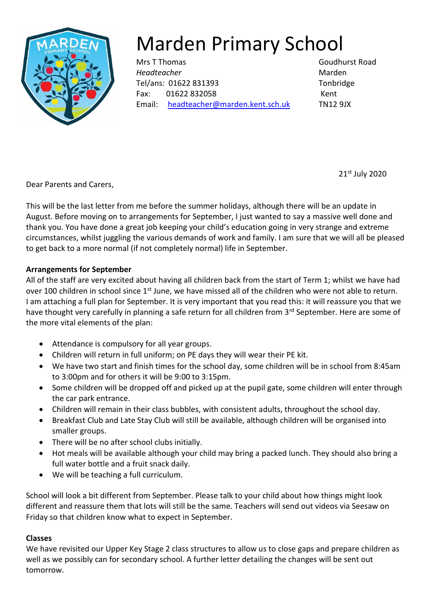

# Marden Primary School

Mrs T Thomas Goudhurst Road *Headteacher* Marden Tel/ans: 01622 831393 Tonbridge Fax: 01622 832058 Kent Email: [headteacher@marden.kent.sch.uk](mailto:headteacher@marden.kent.sch.uk) TN12 9JX

21st July 2020

Dear Parents and Carers,

This will be the last letter from me before the summer holidays, although there will be an update in August. Before moving on to arrangements for September, I just wanted to say a massive well done and thank you. You have done a great job keeping your child's education going in very strange and extreme circumstances, whilst juggling the various demands of work and family. I am sure that we will all be pleased to get back to a more normal (if not completely normal) life in September.

### **Arrangements for September**

All of the staff are very excited about having all children back from the start of Term 1; whilst we have had over 100 children in school since  $1<sup>st</sup>$  June, we have missed all of the children who were not able to return. I am attaching a full plan for September. It is very important that you read this: it will reassure you that we have thought very carefully in planning a safe return for all children from 3rd September. Here are some of the more vital elements of the plan:

- Attendance is compulsory for all year groups.
- Children will return in full uniform; on PE days they will wear their PE kit.
- We have two start and finish times for the school day, some children will be in school from 8:45am to 3:00pm and for others it will be 9:00 to 3:15pm.
- Some children will be dropped off and picked up at the pupil gate, some children will enter through the car park entrance.
- Children will remain in their class bubbles, with consistent adults, throughout the school day.
- Breakfast Club and Late Stay Club will still be available, although children will be organised into smaller groups.
- There will be no after school clubs initially.
- Hot meals will be available although your child may bring a packed lunch. They should also bring a full water bottle and a fruit snack daily.
- We will be teaching a full curriculum.

School will look a bit different from September. Please talk to your child about how things might look different and reassure them that lots will still be the same. Teachers will send out videos via Seesaw on Friday so that children know what to expect in September.

## **Classes**

We have revisited our Upper Key Stage 2 class structures to allow us to close gaps and prepare children as well as we possibly can for secondary school. A further letter detailing the changes will be sent out tomorrow.